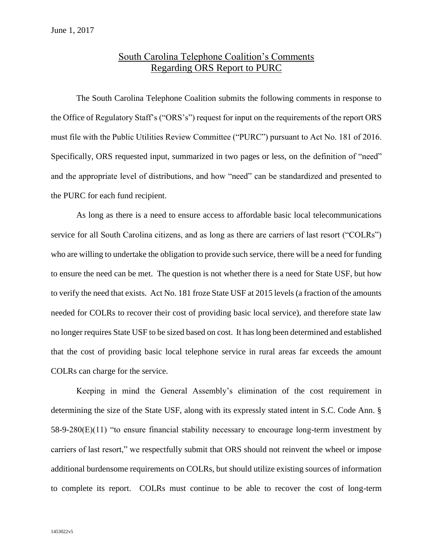## South Carolina Telephone Coalition's Comments Regarding ORS Report to PURC

The South Carolina Telephone Coalition submits the following comments in response to the Office of Regulatory Staff's ("ORS's") request for input on the requirements of the report ORS must file with the Public Utilities Review Committee ("PURC") pursuant to Act No. 181 of 2016. Specifically, ORS requested input, summarized in two pages or less, on the definition of "need" and the appropriate level of distributions, and how "need" can be standardized and presented to the PURC for each fund recipient.

As long as there is a need to ensure access to affordable basic local telecommunications service for all South Carolina citizens, and as long as there are carriers of last resort ("COLRs") who are willing to undertake the obligation to provide such service, there will be a need for funding to ensure the need can be met. The question is not whether there is a need for State USF, but how to verify the need that exists. Act No. 181 froze State USF at 2015 levels (a fraction of the amounts needed for COLRs to recover their cost of providing basic local service), and therefore state law no longer requires State USF to be sized based on cost. It has long been determined and established that the cost of providing basic local telephone service in rural areas far exceeds the amount COLRs can charge for the service.

Keeping in mind the General Assembly's elimination of the cost requirement in determining the size of the State USF, along with its expressly stated intent in S.C. Code Ann. § 58-9-280(E)(11) "to ensure financial stability necessary to encourage long-term investment by carriers of last resort," we respectfully submit that ORS should not reinvent the wheel or impose additional burdensome requirements on COLRs, but should utilize existing sources of information to complete its report. COLRs must continue to be able to recover the cost of long-term